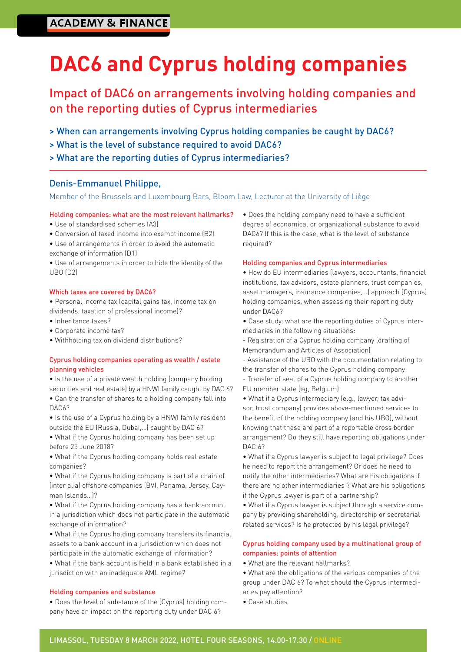# **ACADEMY & FINANCE**

# **DAC6 and Cyprus holding companies**

# Impact of DAC6 on arrangements involving holding companies and on the reporting duties of Cyprus intermediaries

- > When can arrangements involving Cyprus holding companies be caught by DAC6?
- > What is the level of substance required to avoid DAC6?
- > What are the reporting duties of Cyprus intermediaries?

#### Denis-Emmanuel Philippe,

#### Member of the Brussels and Luxembourg Bars, Bloom Law, Lecturer at the University of Liège

#### Holding companies: what are the most relevant hallmarks?

- Use of standardised schemes (A3)
- Conversion of taxed income into exempt income (B2)
- Use of arrangements in order to avoid the automatic exchange of information (D1)
- Use of arrangements in order to hide the identity of the UBO (D2)

#### Which taxes are covered by DAC6?

- Personal income tax (capital gains tax, income tax on dividends, taxation of professional income)?
- Inheritance taxes?
- Corporate income tax?
- Withholding tax on dividend distributions?

#### Cyprus holding companies operating as wealth / estate planning vehicles

- Is the use of a private wealth holding (company holding securities and real estate) by a HNWI family caught by DAC 6?
- Can the transfer of shares to a holding company fall into DAC<sub>6</sub>?
- Is the use of a Cyprus holding by a HNWI family resident outside the EU (Russia, Dubai,…) caught by DAC 6?
- What if the Cyprus holding company has been set up before 25 June 2018?
- What if the Cyprus holding company holds real estate companies?
- What if the Cyprus holding company is part of a chain of (inter alia) offshore companies (BVI, Panama, Jersey, Cayman Islands…)?
- What if the Cyprus holding company has a bank account in a jurisdiction which does not participate in the automatic exchange of information?
- What if the Cyprus holding company transfers its financial assets to a bank account in a jurisdiction which does not participate in the automatic exchange of information?
- What if the bank account is held in a bank established in a jurisdiction with an inadequate AML regime?

#### Holding companies and substance

• Does the level of substance of the (Cyprus) holding company have an impact on the reporting duty under DAC 6?

• Does the holding company need to have a sufficient degree of economical or organizational substance to avoid DAC6? If this is the case, what is the level of substance required?

#### Holding companies and Cyprus intermediaries

• How do EU intermediaries (lawyers, accountants, financial institutions, tax advisors, estate planners, trust companies, asset managers, insurance companies,…) approach (Cyprus) holding companies, when assessing their reporting duty under DAC6?

- Case study: what are the reporting duties of Cyprus intermediaries in the following situations:
- Registration of a Cyprus holding company (drafting of Memorandum and Articles of Association)
- Assistance of the UBO with the documentation relating to the transfer of shares to the Cyprus holding company
- Transfer of seat of a Cyprus holding company to another EU member state (eg, Belgium)
- What if a Cyprus intermediary (e.g., lawyer, tax advisor, trust company) provides above-mentioned services to the benefit of the holding company (and his UBO), without knowing that these are part of a reportable cross border arrangement? Do they still have reporting obligations under DAC 6?
- What if a Cyprus lawyer is subject to legal privilege? Does he need to report the arrangement? Or does he need to notify the other intermediaries? What are his obligations if there are no other intermediaries ? What are his obligations if the Cyprus lawyer is part of a partnership?
- What if a Cyprus lawyer is subject through a service company by providing shareholding, directorship or secretarial related services? Is he protected by his legal privilege?

#### Cyprus holding company used by a multinational group of companies: points of attention

- What are the relevant hallmarks?
- What are the obligations of the various companies of the group under DAC 6? To what should the Cyprus intermediaries pay attention?
- Case studies

#### LIMASSOL, TUESDAY 8 MARCH 2022, HOTEL FOUR SEASONS, 14.00-17.30 / ONLINE